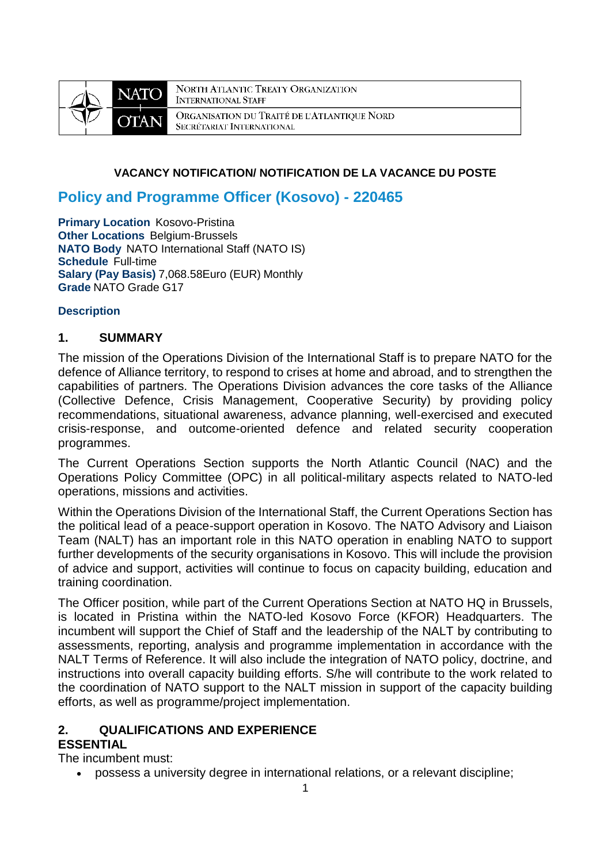

NORTH ATLANTIC TREATY ORGANIZATION **INTERNATIONAL STAFF** ORGANISATION DU TRAITÉ DE L'ATLANTIQUE NORD SECRÉTARIAT INTERNATIONAL

#### **VACANCY NOTIFICATION/ NOTIFICATION DE LA VACANCE DU POSTE**

# **Policy and Programme Officer (Kosovo) - 220465**

**Primary Location Kosovo-Pristina Other Locations Belgium-Brussels NATO Body** NATO International Staff (NATO IS) **Schedule** Full-time **Salary (Pay Basis)** 7,068.58Euro (EUR) Monthly **Grade** NATO Grade G17

#### **Description**

#### **1. SUMMARY**

The mission of the Operations Division of the International Staff is to prepare NATO for the defence of Alliance territory, to respond to crises at home and abroad, and to strengthen the capabilities of partners. The Operations Division advances the core tasks of the Alliance (Collective Defence, Crisis Management, Cooperative Security) by providing policy recommendations, situational awareness, advance planning, well-exercised and executed crisis-response, and outcome-oriented defence and related security cooperation programmes.

The Current Operations Section supports the North Atlantic Council (NAC) and the Operations Policy Committee (OPC) in all political-military aspects related to NATO-led operations, missions and activities.

Within the Operations Division of the International Staff, the Current Operations Section has the political lead of a peace-support operation in Kosovo. The NATO Advisory and Liaison Team (NALT) has an important role in this NATO operation in enabling NATO to support further developments of the security organisations in Kosovo. This will include the provision of advice and support, activities will continue to focus on capacity building, education and training coordination.

The Officer position, while part of the Current Operations Section at NATO HQ in Brussels, is located in Pristina within the NATO-led Kosovo Force (KFOR) Headquarters. The incumbent will support the Chief of Staff and the leadership of the NALT by contributing to assessments, reporting, analysis and programme implementation in accordance with the NALT Terms of Reference. It will also include the integration of NATO policy, doctrine, and instructions into overall capacity building efforts. S/he will contribute to the work related to the coordination of NATO support to the NALT mission in support of the capacity building efforts, as well as programme/project implementation.

# **2. QUALIFICATIONS AND EXPERIENCE**

# **ESSENTIAL**

The incumbent must:

possess a university degree in international relations, or a relevant discipline;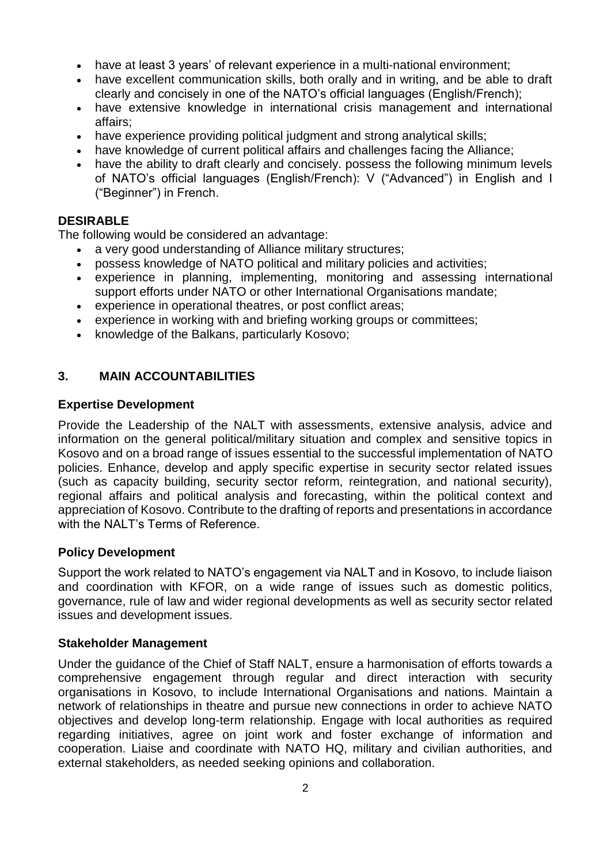- have at least 3 years' of relevant experience in a multi-national environment;
- have excellent communication skills, both orally and in writing, and be able to draft clearly and concisely in one of the NATO's official languages (English/French);
- have extensive knowledge in international crisis management and international affairs;
- have experience providing political judgment and strong analytical skills;
- have knowledge of current political affairs and challenges facing the Alliance;
- have the ability to draft clearly and concisely. possess the following minimum levels of NATO's official languages (English/French): V ("Advanced") in English and I ("Beginner") in French.

### **DESIRABLE**

The following would be considered an advantage:

- a very good understanding of Alliance military structures;
- possess knowledge of NATO political and military policies and activities;
- experience in planning, implementing, monitoring and assessing international support efforts under NATO or other International Organisations mandate;
- experience in operational theatres, or post conflict areas;
- experience in working with and briefing working groups or committees;
- knowledge of the Balkans, particularly Kosovo;

### **3. MAIN ACCOUNTABILITIES**

#### **Expertise Development**

Provide the Leadership of the NALT with assessments, extensive analysis, advice and information on the general political/military situation and complex and sensitive topics in Kosovo and on a broad range of issues essential to the successful implementation of NATO policies. Enhance, develop and apply specific expertise in security sector related issues (such as capacity building, security sector reform, reintegration, and national security), regional affairs and political analysis and forecasting, within the political context and appreciation of Kosovo. Contribute to the drafting of reports and presentations in accordance with the NALT's Terms of Reference.

#### **Policy Development**

Support the work related to NATO's engagement via NALT and in Kosovo, to include liaison and coordination with KFOR, on a wide range of issues such as domestic politics, governance, rule of law and wider regional developments as well as security sector related issues and development issues.

#### **Stakeholder Management**

Under the guidance of the Chief of Staff NALT, ensure a harmonisation of efforts towards a comprehensive engagement through regular and direct interaction with security organisations in Kosovo, to include International Organisations and nations. Maintain a network of relationships in theatre and pursue new connections in order to achieve NATO objectives and develop long-term relationship. Engage with local authorities as required regarding initiatives, agree on joint work and foster exchange of information and cooperation. Liaise and coordinate with NATO HQ, military and civilian authorities, and external stakeholders, as needed seeking opinions and collaboration.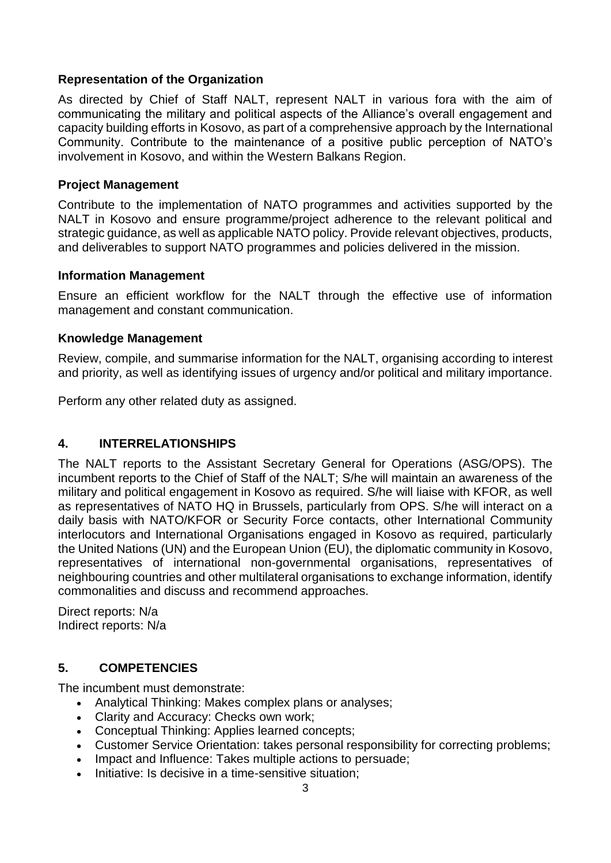### **Representation of the Organization**

As directed by Chief of Staff NALT, represent NALT in various fora with the aim of communicating the military and political aspects of the Alliance's overall engagement and capacity building efforts in Kosovo, as part of a comprehensive approach by the International Community. Contribute to the maintenance of a positive public perception of NATO's involvement in Kosovo, and within the Western Balkans Region.

#### **Project Management**

Contribute to the implementation of NATO programmes and activities supported by the NALT in Kosovo and ensure programme/project adherence to the relevant political and strategic guidance, as well as applicable NATO policy. Provide relevant objectives, products, and deliverables to support NATO programmes and policies delivered in the mission.

#### **Information Management**

Ensure an efficient workflow for the NALT through the effective use of information management and constant communication.

#### **Knowledge Management**

Review, compile, and summarise information for the NALT, organising according to interest and priority, as well as identifying issues of urgency and/or political and military importance.

Perform any other related duty as assigned.

### **4. INTERRELATIONSHIPS**

The NALT reports to the Assistant Secretary General for Operations (ASG/OPS). The incumbent reports to the Chief of Staff of the NALT; S/he will maintain an awareness of the military and political engagement in Kosovo as required. S/he will liaise with KFOR, as well as representatives of NATO HQ in Brussels, particularly from OPS. S/he will interact on a daily basis with NATO/KFOR or Security Force contacts, other International Community interlocutors and International Organisations engaged in Kosovo as required, particularly the United Nations (UN) and the European Union (EU), the diplomatic community in Kosovo, representatives of international non-governmental organisations, representatives of neighbouring countries and other multilateral organisations to exchange information, identify commonalities and discuss and recommend approaches.

Direct reports: N/a Indirect reports: N/a

### **5. COMPETENCIES**

The incumbent must demonstrate:

- Analytical Thinking: Makes complex plans or analyses;
- Clarity and Accuracy: Checks own work;
- Conceptual Thinking: Applies learned concepts;
- Customer Service Orientation: takes personal responsibility for correcting problems;
- Impact and Influence: Takes multiple actions to persuade:
- Initiative: Is decisive in a time-sensitive situation: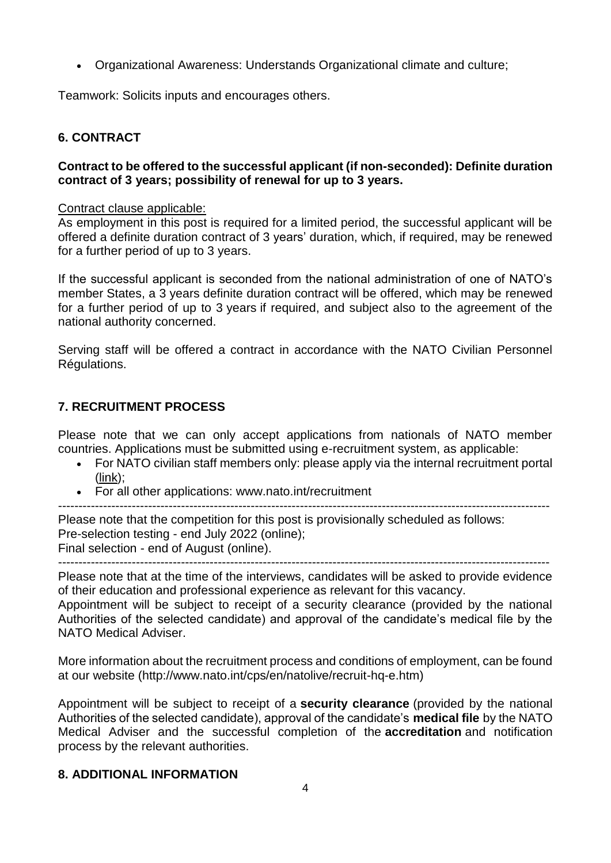Organizational Awareness: Understands Organizational climate and culture;

Teamwork: Solicits inputs and encourages others.

### **6. CONTRACT**

#### **Contract to be offered to the successful applicant (if non-seconded): Definite duration contract of 3 years; possibility of renewal for up to 3 years.**

#### Contract clause applicable:

As employment in this post is required for a limited period, the successful applicant will be offered a definite duration contract of 3 years' duration, which, if required, may be renewed for a further period of up to 3 years.

If the successful applicant is seconded from the national administration of one of NATO's member States, a 3 years definite duration contract will be offered, which may be renewed for a further period of up to 3 years if required, and subject also to the agreement of the national authority concerned.

Serving staff will be offered a contract in accordance with the NATO Civilian Personnel Régulations.

## **7. RECRUITMENT PROCESS**

Please note that we can only accept applications from nationals of NATO member countries. Applications must be submitted using e-recruitment system, as applicable:

- For NATO civilian staff members only: please apply via the internal recruitment portal [\(link\)](https://nato.taleo.net/careersection/1/jobsearch.ftl?lang=en);
- For all other applications: www.nato.int/recruitment

Please note that the competition for this post is provisionally scheduled as follows:

Pre-selection testing - end July 2022 (online);

Final selection - end of August (online).

 $-$ 

Please note that at the time of the interviews, candidates will be asked to provide evidence of their education and professional experience as relevant for this vacancy.

Appointment will be subject to receipt of a security clearance (provided by the national Authorities of the selected candidate) and approval of the candidate's medical file by the NATO Medical Adviser.

More information about the recruitment process and conditions of employment, can be found at our website (http://www.nato.int/cps/en/natolive/recruit-hq-e.htm)

Appointment will be subject to receipt of a **security clearance** (provided by the national Authorities of the selected candidate), approval of the candidate's **medical file** by the NATO Medical Adviser and the successful completion of the **accreditation** and notification process by the relevant authorities.

### **8. ADDITIONAL INFORMATION**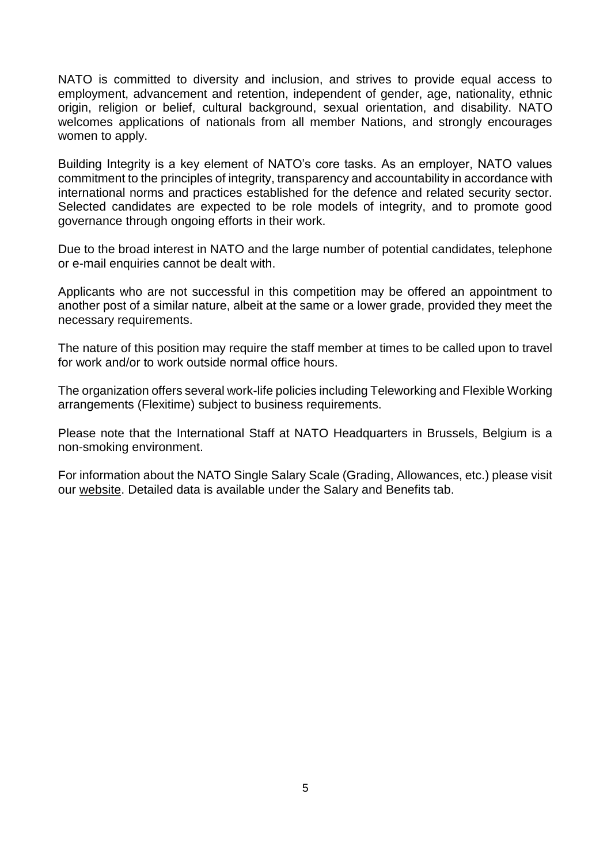NATO is committed to diversity and inclusion, and strives to provide equal access to employment, advancement and retention, independent of gender, age, nationality, ethnic origin, religion or belief, cultural background, sexual orientation, and disability. NATO welcomes applications of nationals from all member Nations, and strongly encourages women to apply.

Building Integrity is a key element of NATO's core tasks. As an employer, NATO values commitment to the principles of integrity, transparency and accountability in accordance with international norms and practices established for the defence and related security sector. Selected candidates are expected to be role models of integrity, and to promote good governance through ongoing efforts in their work.

Due to the broad interest in NATO and the large number of potential candidates, telephone or e-mail enquiries cannot be dealt with.

Applicants who are not successful in this competition may be offered an appointment to another post of a similar nature, albeit at the same or a lower grade, provided they meet the necessary requirements.

The nature of this position may require the staff member at times to be called upon to travel for work and/or to work outside normal office hours.

The organization offers several work-life policies including Teleworking and Flexible Working arrangements (Flexitime) subject to business requirements.

Please note that the International Staff at NATO Headquarters in Brussels, Belgium is a non-smoking environment.

For information about the NATO Single Salary Scale (Grading, Allowances, etc.) please visit our [website.](https://www.nato.int/cps/en/natolive/86790.htm) Detailed data is available under the Salary and Benefits tab.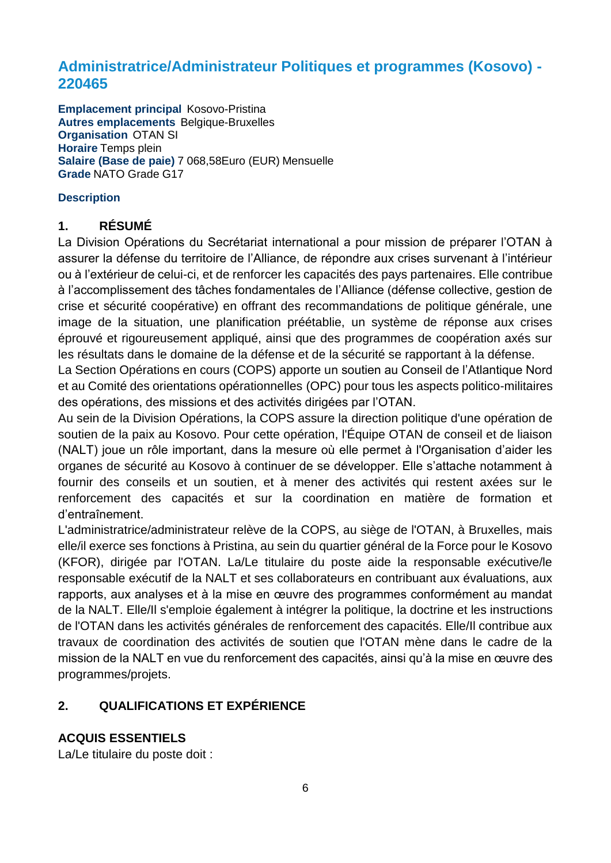# **Administratrice/Administrateur Politiques et programmes (Kosovo) - 220465**

**Emplacement principal** Kosovo-Pristina **Autres emplacements** Belgique-Bruxelles **Organisation** OTAN SI **Horaire** Temps plein **Salaire (Base de paie)** 7 068,58Euro (EUR) Mensuelle **Grade** NATO Grade G17

### **Description**

## **1. RÉSUMÉ**

La Division Opérations du Secrétariat international a pour mission de préparer l'OTAN à assurer la défense du territoire de l'Alliance, de répondre aux crises survenant à l'intérieur ou à l'extérieur de celui-ci, et de renforcer les capacités des pays partenaires. Elle contribue à l'accomplissement des tâches fondamentales de l'Alliance (défense collective, gestion de crise et sécurité coopérative) en offrant des recommandations de politique générale, une image de la situation, une planification préétablie, un système de réponse aux crises éprouvé et rigoureusement appliqué, ainsi que des programmes de coopération axés sur les résultats dans le domaine de la défense et de la sécurité se rapportant à la défense.

La Section Opérations en cours (COPS) apporte un soutien au Conseil de l'Atlantique Nord et au Comité des orientations opérationnelles (OPC) pour tous les aspects politico-militaires des opérations, des missions et des activités dirigées par l'OTAN.

Au sein de la Division Opérations, la COPS assure la direction politique d'une opération de soutien de la paix au Kosovo. Pour cette opération, l'Équipe OTAN de conseil et de liaison (NALT) joue un rôle important, dans la mesure où elle permet à l'Organisation d'aider les organes de sécurité au Kosovo à continuer de se développer. Elle s'attache notamment à fournir des conseils et un soutien, et à mener des activités qui restent axées sur le renforcement des capacités et sur la coordination en matière de formation et d'entraînement.

L'administratrice/administrateur relève de la COPS, au siège de l'OTAN, à Bruxelles, mais elle/il exerce ses fonctions à Pristina, au sein du quartier général de la Force pour le Kosovo (KFOR), dirigée par l'OTAN. La/Le titulaire du poste aide la responsable exécutive/le responsable exécutif de la NALT et ses collaborateurs en contribuant aux évaluations, aux rapports, aux analyses et à la mise en œuvre des programmes conformément au mandat de la NALT. Elle/Il s'emploie également à intégrer la politique, la doctrine et les instructions de l'OTAN dans les activités générales de renforcement des capacités. Elle/Il contribue aux travaux de coordination des activités de soutien que l'OTAN mène dans le cadre de la mission de la NALT en vue du renforcement des capacités, ainsi qu'à la mise en œuvre des programmes/projets.

# **2. QUALIFICATIONS ET EXPÉRIENCE**

# **ACQUIS ESSENTIELS**

La/Le titulaire du poste doit :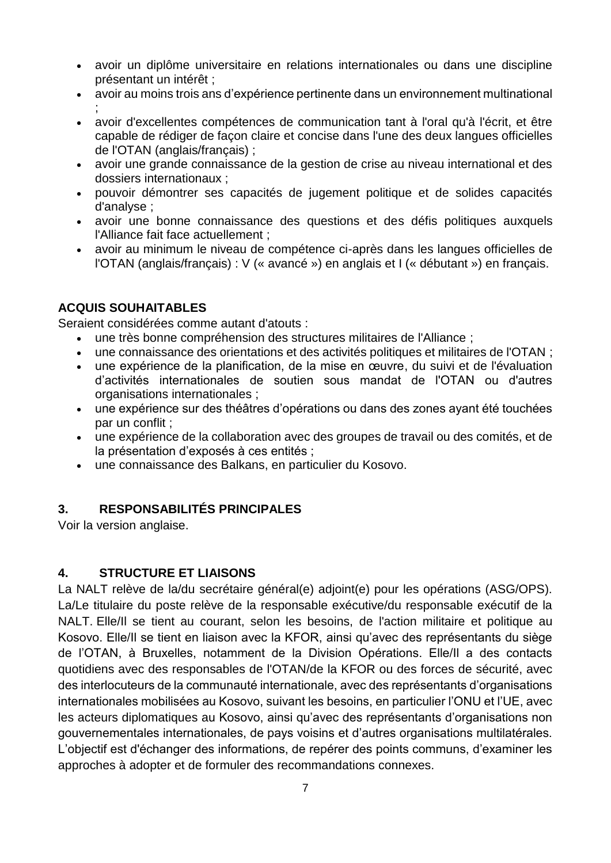- avoir un diplôme universitaire en relations internationales ou dans une discipline présentant un intérêt ;
- avoir au moins trois ans d'expérience pertinente dans un environnement multinational ;
- avoir d'excellentes compétences de communication tant à l'oral qu'à l'écrit, et être capable de rédiger de façon claire et concise dans l'une des deux langues officielles de l'OTAN (anglais/français) ;
- avoir une grande connaissance de la gestion de crise au niveau international et des dossiers internationaux ;
- pouvoir démontrer ses capacités de jugement politique et de solides capacités d'analyse ;
- avoir une bonne connaissance des questions et des défis politiques auxquels l'Alliance fait face actuellement ;
- avoir au minimum le niveau de compétence ci-après dans les langues officielles de l'OTAN (anglais/français) : V (« avancé ») en anglais et I (« débutant ») en français.

# **ACQUIS SOUHAITABLES**

Seraient considérées comme autant d'atouts :

- une très bonne compréhension des structures militaires de l'Alliance ;
- une connaissance des orientations et des activités politiques et militaires de l'OTAN ;
- une expérience de la planification, de la mise en œuvre, du suivi et de l'évaluation d'activités internationales de soutien sous mandat de l'OTAN ou d'autres organisations internationales ;
- une expérience sur des théâtres d'opérations ou dans des zones ayant été touchées par un conflit ;
- une expérience de la collaboration avec des groupes de travail ou des comités, et de la présentation d'exposés à ces entités ;
- une connaissance des Balkans, en particulier du Kosovo.

# **3. RESPONSABILITÉS PRINCIPALES**

Voir la version anglaise.

### **4. STRUCTURE ET LIAISONS**

La NALT relève de la/du secrétaire général(e) adjoint(e) pour les opérations (ASG/OPS). La/Le titulaire du poste relève de la responsable exécutive/du responsable exécutif de la NALT. Elle/Il se tient au courant, selon les besoins, de l'action militaire et politique au Kosovo. Elle/Il se tient en liaison avec la KFOR, ainsi qu'avec des représentants du siège de l'OTAN, à Bruxelles, notamment de la Division Opérations. Elle/Il a des contacts quotidiens avec des responsables de l'OTAN/de la KFOR ou des forces de sécurité, avec des interlocuteurs de la communauté internationale, avec des représentants d'organisations internationales mobilisées au Kosovo, suivant les besoins, en particulier l'ONU et l'UE, avec les acteurs diplomatiques au Kosovo, ainsi qu'avec des représentants d'organisations non gouvernementales internationales, de pays voisins et d'autres organisations multilatérales. L'objectif est d'échanger des informations, de repérer des points communs, d'examiner les approches à adopter et de formuler des recommandations connexes.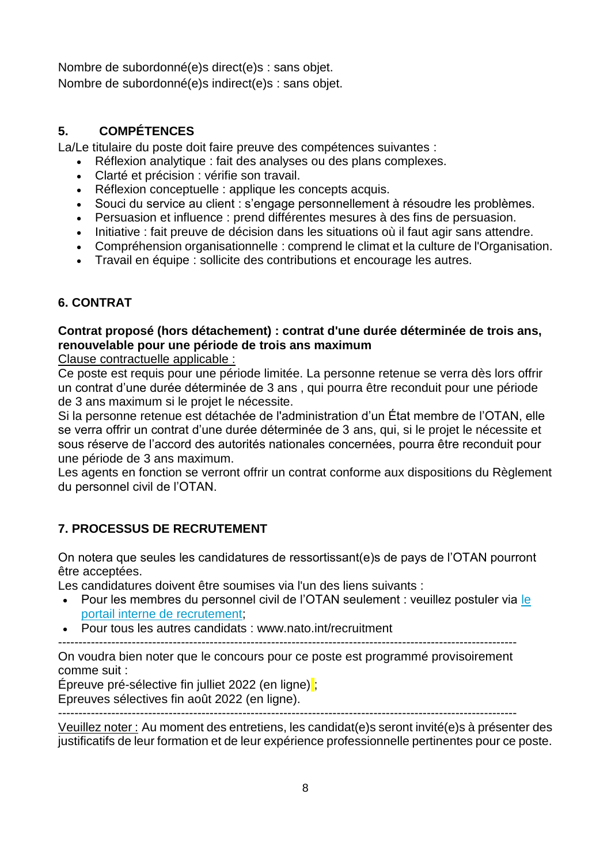Nombre de subordonné(e)s direct(e)s : sans objet. Nombre de subordonné(e)s indirect(e)s : sans objet.

# **5. COMPÉTENCES**

La/Le titulaire du poste doit faire preuve des compétences suivantes :

- Réflexion analytique : fait des analyses ou des plans complexes.
- Clarté et précision : vérifie son travail.
- Réflexion conceptuelle : applique les concepts acquis.
- Souci du service au client : s'engage personnellement à résoudre les problèmes.
- Persuasion et influence : prend différentes mesures à des fins de persuasion.
- Initiative : fait preuve de décision dans les situations où il faut agir sans attendre.
- Compréhension organisationnelle : comprend le climat et la culture de l'Organisation.
- Travail en équipe : sollicite des contributions et encourage les autres.

# **6. CONTRAT**

# **Contrat proposé (hors détachement) : contrat d'une durée déterminée de trois ans, renouvelable pour une période de trois ans maximum**

Clause contractuelle applicable :

Ce poste est requis pour une période limitée. La personne retenue se verra dès lors offrir un contrat d'une durée déterminée de 3 ans , qui pourra être reconduit pour une période de 3 ans maximum si le projet le nécessite.

Si la personne retenue est détachée de l'administration d'un État membre de l'OTAN, elle se verra offrir un contrat d'une durée déterminée de 3 ans, qui, si le projet le nécessite et sous réserve de l'accord des autorités nationales concernées, pourra être reconduit pour une période de 3 ans maximum.

Les agents en fonction se verront offrir un contrat conforme aux dispositions du Règlement du personnel civil de l'OTAN.

# **7. PROCESSUS DE RECRUTEMENT**

On notera que seules les candidatures de ressortissant(e)s de pays de l'OTAN pourront être acceptées.

Les candidatures doivent être soumises via l'un des liens suivants :

- Pour les membres du personnel civil de l'OTAN seulement : veuillez postuler via le [portail interne de recrutement;](http://nato.taleo.net/careersection/1/jobsearch.ftl?lang=en)
- Pour tous les autres candidats : www.nato.int/recruitment

----------------------------------------------------------------------------------------------------------------

On voudra bien noter que le concours pour ce poste est programmé provisoirement comme suit :

Épreuve pré-sélective fin julliet 2022 (en ligne) ; Epreuves sélectives fin août 2022 (en ligne).

----------------------------------------------------------------------------------------------------------------

Veuillez noter : Au moment des entretiens, les candidat(e)s seront invité(e)s à présenter des justificatifs de leur formation et de leur expérience professionnelle pertinentes pour ce poste.